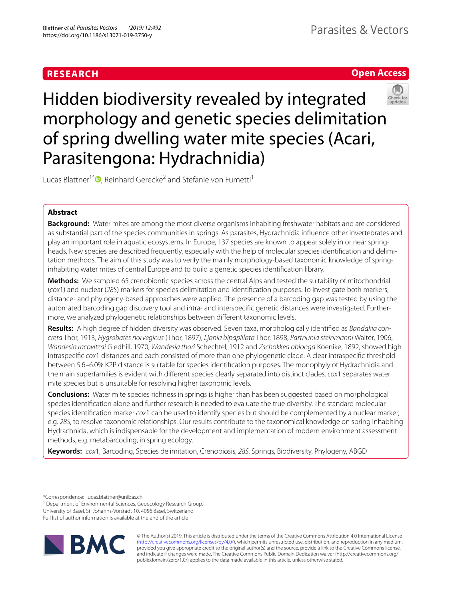# **RESEARCH**

# **Open Access**



Hidden biodiversity revealed by integrated morphology and genetic species delimitation of spring dwelling water mite species (Acari, Parasitengona: Hydrachnidia)

Lucas Blattner<sup>1[\\*](http://orcid.org/0000-0002-1331-3482)</sup><sup>D</sup>, Reinhard Gerecke<sup>2</sup> and Stefanie von Fumetti<sup>1</sup>

# **Abstract**

**Background:** Water mites are among the most diverse organisms inhabiting freshwater habitats and are considered as substantial part of the species communities in springs. As parasites, Hydrachnidia infuence other invertebrates and play an important role in aquatic ecosystems. In Europe, 137 species are known to appear solely in or near springheads. New species are described frequently, especially with the help of molecular species identifcation and delimitation methods. The aim of this study was to verify the mainly morphology-based taxonomic knowledge of springinhabiting water mites of central Europe and to build a genetic species identifcation library.

**Methods:** We sampled 65 crenobiontic species across the central Alps and tested the suitability of mitochondrial (*cox*1) and nuclear (*28S*) markers for species delimitation and identifcation purposes. To investigate both markers, distance- and phylogeny-based approaches were applied. The presence of a barcoding gap was tested by using the automated barcoding gap discovery tool and intra- and interspecifc genetic distances were investigated. Furthermore, we analyzed phylogenetic relationships between diferent taxonomic levels.

**Results:** A high degree of hidden diversity was observed. Seven taxa, morphologically identifed as *Bandakia concreta* Thor, 1913, *Hygrobates norvegicus* (Thor, 1897), *Ljania bipapillata* Thor, 1898, *Partnunia steinmanni* Walter, 1906, *Wandesia racovitzai* Gledhill, 1970, *Wandesia thori* Schechtel, 1912 and *Zschokkea oblonga* Koenike, 1892, showed high intraspecifc *cox*1 distances and each consisted of more than one phylogenetic clade. A clear intraspecifc threshold between 5.6–6.0% K2P distance is suitable for species identifcation purposes. The monophyly of Hydrachnidia and the main superfamilies is evident with diferent species clearly separated into distinct clades. *cox*1 separates water mite species but is unsuitable for resolving higher taxonomic levels.

**Conclusions:** Water mite species richness in springs is higher than has been suggested based on morphological species identifcation alone and further research is needed to evaluate the true diversity. The standard molecular species identifcation marker *cox*1 can be used to identify species but should be complemented by a nuclear marker, e.g. *28S*, to resolve taxonomic relationships. Our results contribute to the taxonomical knowledge on spring inhabiting Hydrachnida, which is indispensable for the development and implementation of modern environment assessment methods, e.g. metabarcoding, in spring ecology.

**Keywords:** *cox*1, Barcoding, Species delimitation, Crenobiosis, *28S*, Springs, Biodiversity, Phylogeny, ABGD

\*Correspondence: lucas.blattner@unibas.ch

<sup>1</sup> Department of Environmental Sciences, Geoecology Research Group,

University of Basel, St. Johanns-Vorstadt 10, 4056 Basel, Switzerland

Full list of author information is available at the end of the article



© The Author(s) 2019. This article is distributed under the terms of the Creative Commons Attribution 4.0 International License [\(http://creativecommons.org/licenses/by/4.0/\)](http://creativecommons.org/licenses/by/4.0/), which permits unrestricted use, distribution, and reproduction in any medium, provided you give appropriate credit to the original author(s) and the source, provide a link to the Creative Commons license, and indicate if changes were made. The Creative Commons Public Domain Dedication waiver (http://creativecommons.org/ publicdomain/zero/1.0/) applies to the data made available in this article, unless otherwise stated.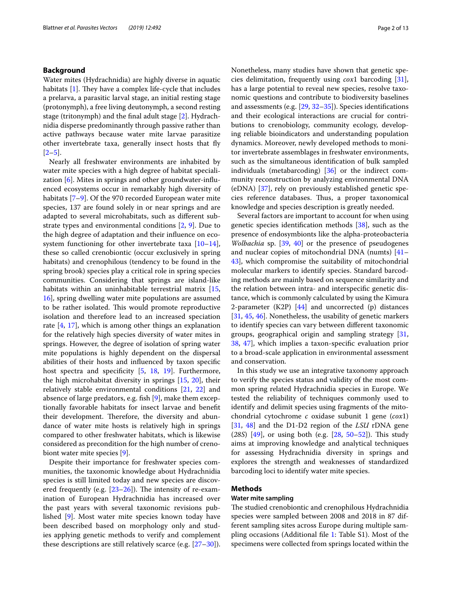# **Background**

Water mites (Hydrachnidia) are highly diverse in aquatic habitats  $[1]$  $[1]$ . They have a complex life-cycle that includes a prelarva, a parasitic larval stage, an initial resting stage (protonymph), a free living deutonymph, a second resting stage (tritonymph) and the fnal adult stage [[2\]](#page-10-1). Hydrachnidia disperse predominantly through passive rather than active pathways because water mite larvae parasitize other invertebrate taxa, generally insect hosts that fy  $[2-5]$  $[2-5]$ .

Nearly all freshwater environments are inhabited by water mite species with a high degree of habitat specialization [[6\]](#page-10-3). Mites in springs and other groundwater-infuenced ecosystems occur in remarkably high diversity of habitats [[7–](#page-10-4)[9\]](#page-10-5). Of the 970 recorded European water mite species, 137 are found solely in or near springs and are adapted to several microhabitats, such as diferent substrate types and environmental conditions [\[2](#page-10-1), [9](#page-10-5)]. Due to the high degree of adaptation and their infuence on ecosystem functioning for other invertebrate taxa  $[10-14]$  $[10-14]$  $[10-14]$ , these so called crenobiontic (occur exclusively in spring habitats) and crenophilous (tendency to be found in the spring brook) species play a critical role in spring species communities. Considering that springs are island-like habitats within an uninhabitable terrestrial matrix [\[15](#page-10-8), [16\]](#page-10-9), spring dwelling water mite populations are assumed to be rather isolated. This would promote reproductive isolation and therefore lead to an increased speciation rate [[4,](#page-10-10) [17\]](#page-10-11), which is among other things an explanation for the relatively high species diversity of water mites in springs. However, the degree of isolation of spring water mite populations is highly dependent on the dispersal abilities of their hosts and infuenced by taxon specifc host spectra and specificity [\[5](#page-10-2), [18,](#page-10-12) [19](#page-10-13)]. Furthermore, the high microhabitat diversity in springs [[15,](#page-10-8) [20](#page-10-14)], their relatively stable environmental conditions [\[21](#page-10-15), [22\]](#page-10-16) and absence of large predators, e.g. fsh [[9](#page-10-5)], make them exceptionally favorable habitats for insect larvae and beneft their development. Therefore, the diversity and abundance of water mite hosts is relatively high in springs compared to other freshwater habitats, which is likewise considered as precondition for the high number of crenobiont water mite species [\[9](#page-10-5)].

Despite their importance for freshwater species communities, the taxonomic knowledge about Hydrachnidia species is still limited today and new species are discovered frequently (e.g.  $[23-26]$  $[23-26]$  $[23-26]$ ). The intensity of re-examination of European Hydrachnidia has increased over the past years with several taxonomic revisions published [\[9](#page-10-5)]. Most water mite species known today have been described based on morphology only and studies applying genetic methods to verify and complement these descriptions are still relatively scarce (e.g. [\[27](#page-10-19)[–30\]](#page-10-20)). Nonetheless, many studies have shown that genetic species delimitation, frequently using *cox*1 barcoding [\[31](#page-10-21)], has a large potential to reveal new species, resolve taxonomic questions and contribute to biodiversity baselines and assessments (e.g. [[29](#page-10-22), [32–](#page-10-23)[35\]](#page-10-24)). Species identifcations and their ecological interactions are crucial for contributions to crenobiology, community ecology, developing reliable bioindicators and understanding population dynamics. Moreover, newly developed methods to monitor invertebrate assemblages in freshwater environments, such as the simultaneous identifcation of bulk sampled individuals (metabarcoding) [\[36](#page-10-25)] or the indirect community reconstruction by analyzing environmental DNA (eDNA) [[37](#page-10-26)], rely on previously established genetic species reference databases. Thus, a proper taxonomical knowledge and species description is greatly needed.

Several factors are important to account for when using genetic species identification methods [[38\]](#page-10-27), such as the presence of endosymbionts like the alpha-proteobacteria *Wolbachia* sp. [[39,](#page-11-0) [40\]](#page-11-1) or the presence of pseudogenes and nuclear copies of mitochondrial DNA (numts) [[41–](#page-11-2) [43\]](#page-11-3), which compromise the suitability of mitochondrial molecular markers to identify species. Standard barcoding methods are mainly based on sequence similarity and the relation between intra- and interspecifc genetic distance, which is commonly calculated by using the Kimura 2-parameter (K2P)  $[44]$  $[44]$  and uncorrected (p) distances [[31,](#page-10-21) [45](#page-11-5), [46](#page-11-6)]. Nonetheless, the usability of genetic markers to identify species can vary between diferent taxonomic groups, geographical origin and sampling strategy [[31](#page-10-21), [38,](#page-10-27) [47](#page-11-7)], which implies a taxon-specifc evaluation prior to a broad-scale application in environmental assessment and conservation.

In this study we use an integrative taxonomy approach to verify the species status and validity of the most common spring related Hydrachnidia species in Europe. We tested the reliability of techniques commonly used to identify and delimit species using fragments of the mitochondrial cytochrome *c* oxidase subunit 1 gene (*cox*1) [[31,](#page-10-21) [48\]](#page-11-8) and the D1-D2 region of the *LSU* rDNA gene (28S) [\[49](#page-11-9)], or using both (e.g. [[28,](#page-10-28) [50](#page-11-10)[–52\]](#page-11-11)). This study aims at improving knowledge and analytical techniques for assessing Hydrachnidia diversity in springs and explores the strength and weaknesses of standardized barcoding loci to identify water mite species.

# **Methods**

## **Water mite sampling**

The studied crenobiontic and crenophilous Hydrachnidia species were sampled between 2008 and 2018 in 87 different sampling sites across Europe during multiple sampling occasions (Additional fle [1](#page-9-0): Table S1). Most of the specimens were collected from springs located within the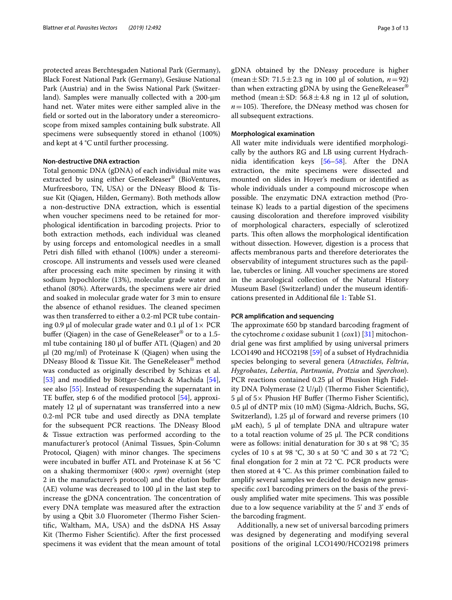protected areas Berchtesgaden National Park (Germany), Black Forest National Park (Germany), Gesäuse National Park (Austria) and in the Swiss National Park (Switzerland). Samples were manually collected with a 200-µm hand net. Water mites were either sampled alive in the feld or sorted out in the laboratory under a stereomicroscope from mixed samples containing bulk substrate. All specimens were subsequently stored in ethanol (100%) and kept at 4 °C until further processing.

### **Non‑destructive DNA extraction**

Total genomic DNA (gDNA) of each individual mite was extracted by using either GeneReleaser® (BioVentures, Murfreesboro, TN, USA) or the DNeasy Blood & Tissue Kit (Qiagen, Hilden, Germany). Both methods allow a non-destructive DNA extraction, which is essential when voucher specimens need to be retained for morphological identifcation in barcoding projects. Prior to both extraction methods, each individual was cleaned by using forceps and entomological needles in a small Petri dish flled with ethanol (100%) under a stereomicroscope. All instruments and vessels used were cleaned after processing each mite specimen by rinsing it with sodium hypochlorite (13%), molecular grade water and ethanol (80%). Afterwards, the specimens were air dried and soaked in molecular grade water for 3 min to ensure the absence of ethanol residues. The cleaned specimen was then transferred to either a 0.2-ml PCR tube containing 0.9 µl of molecular grade water and 0.1 µl of  $1 \times PCR$ buffer (Qiagen) in the case of GeneReleaser<sup>®</sup> or to a 1.5ml tube containing 180  $\mu$ l of buffer ATL (Qiagen) and 20 µl (20 mg/ml) of Proteinase K (Qiagen) when using the DNeasy Blood & Tissue Kit. The GeneReleaser<sup>®</sup> method was conducted as originally described by Schizas et al. [[53\]](#page-11-12) and modified by Böttger-Schnack & Machida [\[54](#page-11-13)], see also [[55\]](#page-11-14). Instead of resuspending the supernatant in TE buffer, step 6 of the modified protocol [\[54](#page-11-13)], approximately 12 µl of supernatant was transferred into a new 0.2-ml PCR tube and used directly as DNA template for the subsequent PCR reactions. The DNeasy Blood & Tissue extraction was performed according to the manufacturer's protocol (Animal Tissues, Spin-Column Protocol, Qiagen) with minor changes. The specimens were incubated in bufer ATL and Proteinase K at 56 °C on a shaking thermomixer (400× *rpm*) overnight (step 2 in the manufacturer's protocol) and the elution bufer (AE) volume was decreased to 100  $\mu$ l in the last step to increase the gDNA concentration. The concentration of every DNA template was measured after the extraction by using a Qbit 3.0 Fluorometer (Thermo Fisher Scientifc, Waltham, MA, USA) and the dsDNA HS Assay Kit (Thermo Fisher Scientific). After the first processed specimens it was evident that the mean amount of total gDNA obtained by the DNeasy procedure is higher (mean $\pm$ SD: 71.5 $\pm$ 2.3 ng in 100 µl of solution, *n*=92) than when extracting gDNA by using the GeneReleaser® method (mean  $\pm$  SD: 56.8  $\pm$  4.8 ng in 12  $\mu$ l of solution,  $n = 105$ ). Therefore, the DNeasy method was chosen for all subsequent extractions.

# **Morphological examination**

All water mite individuals were identifed morphologically by the authors RG and LB using current Hydrachnidia identifcation keys [\[56–](#page-11-15)[58\]](#page-11-16). After the DNA extraction, the mite specimens were dissected and mounted on slides in Hoyer's medium or identifed as whole individuals under a compound microscope when possible. The enzymatic DNA extraction method (Proteinase K) leads to a partial digestion of the specimens causing discoloration and therefore improved visibility of morphological characters, especially of sclerotized parts. This often allows the morphological identification without dissection. However, digestion is a process that afects membranous parts and therefore deteriorates the observability of integument structures such as the papillae, tubercles or lining. All voucher specimens are stored in the acarological collection of the Natural History Museum Basel (Switzerland) under the museum identifcations presented in Additional fle [1:](#page-9-0) Table S1.

### **PCR amplifcation and sequencing**

The approximate 650 bp standard barcoding fragment of the cytochrome *c* oxidase subunit 1 (*cox*1) [\[31\]](#page-10-21) mitochondrial gene was frst amplifed by using universal primers LCO1490 and HCO2198 [[59](#page-11-17)] of a subset of Hydrachnidia species belonging to several genera (*Atractides*, *Feltria*, *Hygrobates*, *Lebertia*, *Partnunia*, *Protzia* and *Sperchon*). PCR reactions contained 0.25 µl of Phusion High Fidelity DNA Polymerase  $(2 U/\mu l)$  (Thermo Fisher Scientific),  $5 \mu$ l of  $5 \times$  Phusion HF Buffer (Thermo Fisher Scientific), 0.5 µl of dNTP mix (10 mM) (Sigma-Aldrich, Buchs, SG, Switzerland),  $1.25 \mu l$  of forward and reverse primers (10  $\mu$ M each), 5  $\mu$ l of template DNA and ultrapure water to a total reaction volume of  $25$  µl. The PCR conditions were as follows: initial denaturation for 30 s at 98 °C; 35 cycles of 10 s at 98 °C, 30 s at 50 °C and 30 s at 72 °C; fnal elongation for 2 min at 72 °C. PCR products were then stored at 4 °C. As this primer combination failed to amplify several samples we decided to design new genusspecifc *cox*1 barcoding primers on the basis of the previously amplified water mite specimens. This was possible due to a low sequence variability at the 5' and 3' ends of the barcoding fragment.

Additionally, a new set of universal barcoding primers was designed by degenerating and modifying several positions of the original LCO1490/HCO2198 primers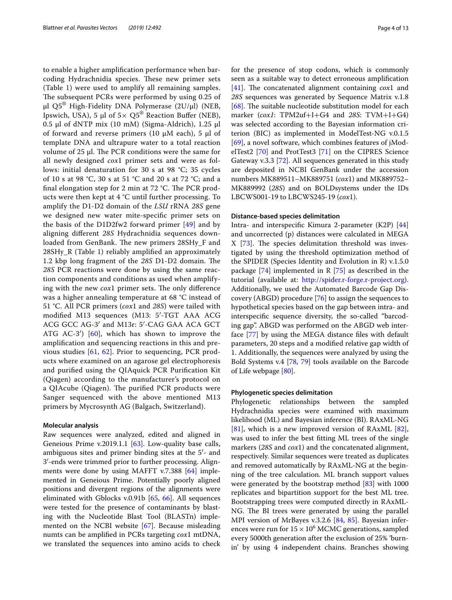to enable a higher amplifcation performance when barcoding Hydrachnidia species. These new primer sets (Table [1\)](#page-4-0) were used to amplify all remaining samples. The subsequent PCRs were performed by using 0.25 of  $\mu$ l Q5<sup>®</sup> High-Fidelity DNA Polymerase (2U/ $\mu$ l) (NEB, Ipswich, USA), 5 µl of  $5 \times Q5^{\circ}$  Reaction Buffer (NEB), 0.5 µl of dNTP mix (10 mM) (Sigma-Aldrich), 1.25 µl of forward and reverse primers (10  $\mu$ M each), 5  $\mu$ l of template DNA and ultrapure water to a total reaction volume of  $25$  µl. The PCR conditions were the same for all newly designed *cox*1 primer sets and were as follows: initial denaturation for 30 s at 98 °C; 35 cycles of 10 s at 98 °C, 30 s at 51 °C and 20 s at 72 °C; and a final elongation step for 2 min at  $72$  °C. The PCR products were then kept at 4 °C until further processing. To amplify the D1-D2 domain of the *LSU* rRNA *28S* gene we designed new water mite-specifc primer sets on the basis of the D1D2fw2 forward primer [\[49\]](#page-11-9) and by aligning diferent *28S* Hydrachnidia sequences downloaded from GenBank. The new primers 28SHy\_F and 28SHy\_R (Table [1](#page-4-0)) reliably amplifed an approximately 1.2 kbp long fragment of the 28S D1-D2 domain. The *28S* PCR reactions were done by using the same reaction components and conditions as used when amplifying with the new *cox*1 primer sets. The only difference was a higher annealing temperature at 68 °C instead of 51 °C. All PCR primers (*cox*1 and *28S*) were tailed with modifed M13 sequences (M13: 5′-TGT AAA ACG ACG GCC AG-3′ and M13r: 5′-CAG GAA ACA GCT ATG AC-3′) [\[60](#page-11-18)], which has shown to improve the amplifcation and sequencing reactions in this and previous studies [[61,](#page-11-19) [62\]](#page-11-20). Prior to sequencing, PCR products where examined on an agarose gel electrophoresis and purifed using the QIAquick PCR Purifcation Kit (Qiagen) according to the manufacturer's protocol on a QIAcube (Qiagen). The purified PCR products were Sanger sequenced with the above mentioned M13 primers by Mycrosynth AG (Balgach, Switzerland).

# **Molecular analysis**

Raw sequences were analyzed, edited and aligned in Geneious Prime v.2019.1.1 [[63](#page-11-21)]. Low-quality base calls, ambiguous sites and primer binding sites at the 5′- and 3′-ends were trimmed prior to further processing. Alignments were done by using MAFFT v.7.388 [[64\]](#page-11-22) implemented in Geneious Prime. Potentially poorly aligned positions and divergent regions of the alignments were eliminated with Gblocks v.0.91b [\[65](#page-11-23), [66](#page-11-24)]. All sequences were tested for the presence of contaminants by blasting with the Nucleotide Blast Tool (BLASTn) implemented on the NCBI website [[67](#page-11-25)]. Because misleading numts can be amplifed in PCRs targeting *cox*1 mtDNA, we translated the sequences into amino acids to check for the presence of stop codons, which is commonly seen as a suitable way to detect erroneous amplifcation [[41\]](#page-11-2). The concatenated alignment containing *cox*1 and *28S* sequences was generated by Sequence Matrix v.1.8  $[68]$  $[68]$ . The suitable nucleotide substitution model for each marker (*cox1*: TPM2uf+I+G4 and *28S*: TVM+I+G4) was selected according to the Bayesian information criterion (BIC) as implemented in ModelTest-NG v.0.1.5 [[69\]](#page-11-27), a novel software, which combines features of jModelTest2 [[70\]](#page-11-28) and ProtTest3 [\[71](#page-11-29)] on the CIPRES Science Gateway v.3.3 [\[72](#page-11-30)]. All sequences generated in this study are deposited in NCBI GenBank under the accession numbers MK889511–MK889751 (*cox*1) and MK889752– MK889992 (*28S*) and on BOLDsystems under the IDs LBCWS001-19 to LBCWS245-19 (*cox*1).

### **Distance‑based species delimitation**

Intra- and interspecifc Kimura 2-parameter (K2P) [[44](#page-11-4)] and uncorrected (p) distances were calculated in MEGA  $X$  [[73\]](#page-11-31). The species delimitation threshold was investigated by using the threshold optimization method of the SPIDER (Species Identity and Evolution in R) v.1.5.0 package [\[74\]](#page-11-32) implemented in R [\[75](#page-11-33)] as described in the tutorial (available at: <http://spider.r-forge.r-project.org>). Additionally, we used the Automated Barcode Gap Discovery (ABGD) procedure [[76\]](#page-11-34) to assign the sequences to hypothetical species based on the gap between intra- and interspecifc sequence diversity, the so-called "barcoding gap". ABGD was performed on the ABGD web interface [[77\]](#page-11-35) by using the MEGA distance fles with default parameters, 20 steps and a modifed relative gap width of 1. Additionally, the sequences were analyzed by using the Bold Systems v.4 [\[78,](#page-11-36) [79](#page-11-37)] tools available on the Barcode of Life webpage [[80\]](#page-11-38).

# **Phylogenetic species delimitation**

Phylogenetic relationships between the sampled Hydrachnidia species were examined with maximum likelihood (ML) and Bayesian inference (BI). RAxML-NG  $[81]$  $[81]$ , which is a new improved version of RAxML  $[82]$  $[82]$ , was used to infer the best ftting ML trees of the single markers (*28S* and *cox*1) and the concatenated alignment, respectively. Similar sequences were treated as duplicates and removed automatically by RAxML-NG at the beginning of the tree calculation. ML branch support values were generated by the bootstrap method [\[83\]](#page-11-41) with 1000 replicates and bipartition support for the best ML tree. Bootstrapping trees were computed directly in RAxML-NG. The BI trees were generated by using the parallel MPI version of MrBayes v.3.2.6 [[84](#page-11-42), [85\]](#page-11-43). Bayesian inferences were run for  $15 \times 10^6$  MCMC generations, sampled every 5000th generation after the exclusion of 25% 'burnin' by using 4 independent chains. Branches showing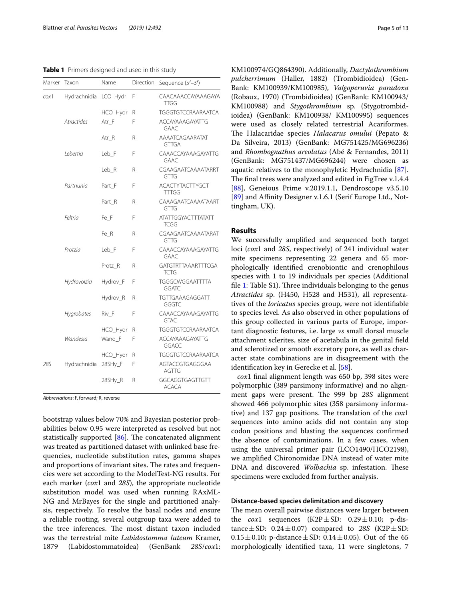<span id="page-4-0"></span>**Table 1** Primers designed and used in this study

| Marker | Taxon        | Name     | Direction | Sequence (5'-3')                         |
|--------|--------------|----------|-----------|------------------------------------------|
| cox1   | Hydrachnidia | LCO_Hydr | F         | CAACAAACCAYAAAGAYA<br>TTGG               |
|        |              | HCO_Hydr | R         | TGGGTGTCCRAARAATCA                       |
|        | Atractides   | Atr F    | F         | <b>ACCAYAAAGAYATTG</b><br><b>GAAC</b>    |
|        |              | Atr R    | R         | AAAATCAGAARATAT<br>GTTGA                 |
|        | Lebertia     | Leb_F    | F         | CAAACCAYAAAGAYATTG<br>GAAC               |
|        |              | Leb_R    | R         | CGAAGAATCAAAATARRT<br>GTTG               |
|        | Partnunia    | Part_F   | F         | <b>ACACTYTACTTYGCT</b><br><b>TTTGG</b>   |
|        |              | Part_R   | R         | CAAAGAATCAAAATAART<br>GTTG               |
|        | Feltria      | Fe_F     | F         | <b>ATATTGGYACTTTATATT</b><br><b>TCGG</b> |
|        |              | Fe_R     | R         | CGAAGAATCAAAATARAT<br>GTTG               |
|        | Protzia      | Leb_F    | F         | CAAACCAYAAAGAYATTG<br><b>GAAC</b>        |
|        |              | Protz R  | R         | GATGTRTTAAARTTTCGA<br>TCTG               |
|        | Hydrovolzia  | Hydrov_F | F         | TGGGCWGGAATTTTA<br>GGATC                 |
|        |              | Hydrov_R | R         | TGTTGAAAGAGGATT<br>GGGTC                 |
|        | Hygrobates   | Riv_F    | F         | CAAACCAYAAAGAYATTG<br><b>GTAC</b>        |
|        |              | HCO_Hydr | R         | TGGGTGTCCRAARAATCA                       |
|        | Wandesia     | Wand F   | F         | <b>ACCAYAAAGAYATTG</b><br>GGACC          |
|        |              | HCO_Hydr | R         | TGGGTGTCCRAARAATCA                       |
| 28S    | Hydrachnidia | 28SHy_F  | F         | AGTACCGTGAGGGAA<br><b>AGTTG</b>          |
|        |              | 28SHy_R  | R         | GGCAGGTGAGTTGTT<br><b>ACACA</b>          |

*Abbreviations*: F, forward; R, reverse

bootstrap values below 70% and Bayesian posterior probabilities below 0.95 were interpreted as resolved but not statistically supported  $[86]$  $[86]$ . The concatenated alignment was treated as partitioned dataset with unlinked base frequencies, nucleotide substitution rates, gamma shapes and proportions of invariant sites. The rates and frequencies were set according to the ModelTest-NG results. For each marker (*cox*1 and *28S*), the appropriate nucleotide substitution model was used when running RAxML-NG and MrBayes for the single and partitioned analysis, respectively. To resolve the basal nodes and ensure a reliable rooting, several outgroup taxa were added to the tree inferences. The most distant taxon included was the terrestrial mite *Labidostomma luteum* Kramer, 1879 (Labidostommatoidea) (GenBank *28S*/*cox*1: KM100974/GQ864390). Additionally, *Dactylothrombium pulcherrimum* (Haller, 1882) (Trombidioidea) (Gen-Bank: KM100939/KM100985), *Valgoperuvia paradoxa* (Robaux, 1970) (Trombidioidea) (GenBank: KM100943/ KM100988) and *Stygothrombium* sp. (Stygotrombidioidea) (GenBank: KM100938/ KM100995) sequences were used as closely related terrestrial Acariformes. The Halacaridae species *Halacarus omului* (Pepato & Da Silveira, 2013) (GenBank: MG751425/MG696236) and *Rhombognathus areolatus* (Abé & Fernandes, 2011) (GenBank: MG751437/MG696244) were chosen as aquatic relatives to the monophyletic Hydrachnidia [\[87](#page-11-45)]. The final trees were analyzed and edited in FigTree v.1.4.4 [[88\]](#page-11-46), Geneious Prime v.2019.1.1, Dendroscope v3.5.10 [[89\]](#page-11-47) and Affinity Designer v.1.6.1 (Serif Europe Ltd., Nottingham, UK).

# **Results**

We successfully amplifed and sequenced both target loci (*cox*1 and *28S*, respectively) of 241 individual water mite specimens representing 22 genera and 65 morphologically identifed crenobiontic and crenophilous species with 1 to 19 individuals per species (Additional file [1:](#page-9-0) Table S1). Three individuals belonging to the genus *Atractides* sp. (H450, H528 and H531), all representatives of the *loricatus* species group, were not identifable to species level. As also observed in other populations of this group collected in various parts of Europe, important diagnostic features, i.e. large *vs* small dorsal muscle attachment sclerites, size of acetabula in the genital feld and sclerotized or smooth excretory pore, as well as character state combinations are in disagreement with the identification key in Gerecke et al. [\[58\]](#page-11-16).

*cox*1 fnal alignment length was 650 bp, 398 sites were polymorphic (389 parsimony informative) and no alignment gaps were present. The 999 bp 28S alignment showed 466 polymorphic sites (358 parsimony informative) and 137 gap positions. The translation of the *cox*1 sequences into amino acids did not contain any stop codon positions and blasting the sequences confrmed the absence of contaminations. In a few cases, when using the universal primer pair (LCO1490/HCO2198), we amplifed Chironomidae DNA instead of water mite DNA and discovered *Wolbachia* sp. infestation. These specimens were excluded from further analysis.

# **Distance‑based species delimitation and discovery**

The mean overall pairwise distances were larger between the *cox*1 sequences (K2P $\pm$ SD: 0.29 $\pm$ 0.10; p-distance $\pm$ SD: 0.24 $\pm$ 0.07) compared to 28S (K2P $\pm$ SD:  $0.15 \pm 0.10$ ; p-distance  $\pm$  SD: 0.14  $\pm$  0.05). Out of the 65 morphologically identifed taxa, 11 were singletons, 7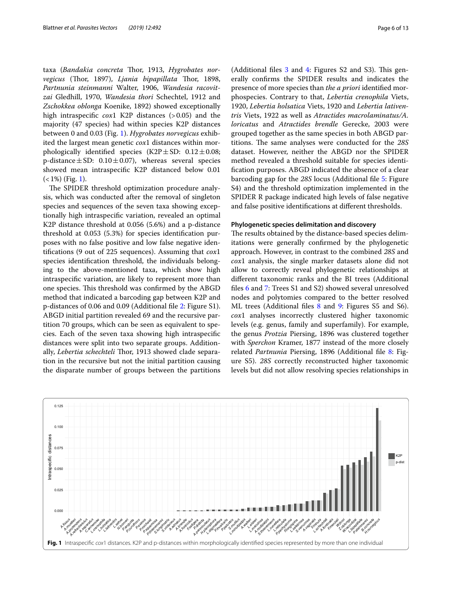taxa (Bandakia concreta Thor, 1913, Hygrobates nor*vegicus* (Thor, 1897), *Ljania bipapillata* Thor, 1898, *Partnunia steinmanni* Walter, 1906, *Wandesia racovitzai* Gledhill, 1970, *Wandesia thori* Schechtel, 1912 and *Zschokkea oblonga* Koenike, 1892) showed exceptionally high intraspecifc *cox*1 K2P distances (>0.05) and the majority (47 species) had within species K2P distances between 0 and 0.03 (Fig. [1](#page-5-0)). *Hygrobates norvegicus* exhibited the largest mean genetic *cox*1 distances within morphologically identified species (K2P $\pm$ SD: 0.12 $\pm$ 0.08; p-distance  $\pm$  SD: 0.10  $\pm$  0.07), whereas several species showed mean intraspecifc K2P distanced below 0.01  $(<1\%)$  (Fig. [1\)](#page-5-0).

The SPIDER threshold optimization procedure analysis, which was conducted after the removal of singleton species and sequences of the seven taxa showing exceptionally high intraspecifc variation, revealed an optimal K2P distance threshold at 0.056 (5.6%) and a p-distance threshold at 0.053 (5.3%) for species identifcation purposes with no false positive and low false negative identifcations (9 out of 225 sequences). Assuming that *cox*1 species identifcation threshold, the individuals belonging to the above-mentioned taxa, which show high intraspecifc variation, are likely to represent more than one species. This threshold was confirmed by the ABGD method that indicated a barcoding gap between K2P and p-distances of 0.06 and 0.09 (Additional fle [2](#page-9-1): Figure S1). ABGD initial partition revealed 69 and the recursive partition 70 groups, which can be seen as equivalent to species. Each of the seven taxa showing high intraspecifc distances were split into two separate groups. Additionally, *Lebertia schechteli* Thor, 1913 showed clade separation in the recursive but not the initial partition causing the disparate number of groups between the partitions

(Additional files  $3$  and  $4$ : Figures  $S2$  and  $S3$ ). This generally confrms the SPIDER results and indicates the presence of more species than *the a priori* identifed morphospecies. Contrary to that, *Lebertia crenophila* Viets, 1920, *Lebertia holsatica* Viets, 1920 and *Lebertia lativentris* Viets, 1922 as well as *Atractides macrolaminatus/A. loricatus* and *Atractides brendle* Gerecke, 2003 were grouped together as the same species in both ABGD partitions. The same analyses were conducted for the  $28S$ dataset. However, neither the ABGD nor the SPIDER method revealed a threshold suitable for species identifcation purposes. ABGD indicated the absence of a clear barcoding gap for the *28S* locus (Additional fle [5:](#page-9-4) Figure S4) and the threshold optimization implemented in the SPIDER R package indicated high levels of false negative and false positive identifcations at diferent thresholds.

### **Phylogenetic species delimitation and discovery**

The results obtained by the distance-based species delimitations were generally confrmed by the phylogenetic approach. However, in contrast to the combined *28S* and *cox*1 analysis, the single marker datasets alone did not allow to correctly reveal phylogenetic relationships at diferent taxonomic ranks and the BI trees (Additional fles [6](#page-9-5) and [7:](#page-9-6) Trees S1 and S2) showed several unresolved nodes and polytomies compared to the better resolved ML trees (Additional fles [8](#page-9-7) and [9:](#page-9-8) Figures S5 and S6). *cox*1 analyses incorrectly clustered higher taxonomic levels (e.g. genus, family and superfamily). For example, the genus *Protzia* Piersing, 1896 was clustered together with *Sperchon* Kramer, 1877 instead of the more closely related *Partnunia* Piersing, 1896 (Additional fle [8:](#page-9-7) Figure S5). *28S* correctly reconstructed higher taxonomic levels but did not allow resolving species relationships in

<span id="page-5-0"></span>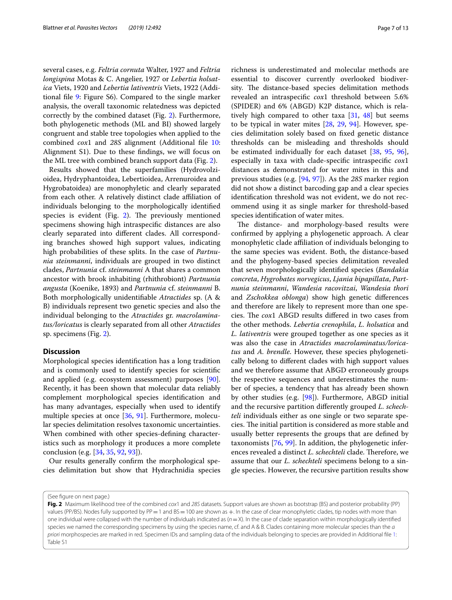several cases, e.g. *Feltria cornuta* Walter, 1927 and *Feltria longispina* Motas & C. Angelier, 1927 or *Lebertia holsatica* Viets, 1920 and *Lebertia lativentris* Viets, 1922 (Additional fle [9:](#page-9-8) Figure S6). Compared to the single marker analysis, the overall taxonomic relatedness was depicted correctly by the combined dataset (Fig. [2](#page-6-0)). Furthermore, both phylogenetic methods (ML and BI) showed largely congruent and stable tree topologies when applied to the combined *cox*1 and *28S* alignment (Additional fle [10](#page-9-9): Alignment S1). Due to these fndings, we will focus on the ML tree with combined branch support data (Fig. [2](#page-6-0)).

Results showed that the superfamilies (Hydrovolzioidea, Hydryphantoidea, Lebertioidea, Arrenuroidea and Hygrobatoidea) are monophyletic and clearly separated from each other. A relatively distinct clade affiliation of individuals belonging to the morphologically identifed species is evident (Fig. [2](#page-6-0)). The previously mentioned specimens showing high intraspecifc distances are also clearly separated into diferent clades. All corresponding branches showed high support values, indicating high probabilities of these splits. In the case of *Partnunia steinmanni*, individuals are grouped in two distinct clades, *Partnunia* cf. *steinmanni* A that shares a common ancestor with brook inhabiting (rhithrobiont) *Partnunia angusta* (Koenike, 1893) and *Partnunia* cf. *steinmanni* B. Both morphologically unidentifable *Atractides* sp. (A & B) individuals represent two genetic species and also the individual belonging to the *Atractides* gr. *macrolaminatus/loricatus* is clearly separated from all other *Atractides* sp. specimens (Fig. [2\)](#page-6-0).

# **Discussion**

Morphological species identifcation has a long tradition and is commonly used to identify species for scientifc and applied (e.g. ecosystem assessment) purposes [\[90](#page-11-48)]. Recently, it has been shown that molecular data reliably complement morphological species identifcation and has many advantages, especially when used to identify multiple species at once [\[36](#page-10-25), [91\]](#page-12-0). Furthermore, molecular species delimitation resolves taxonomic uncertainties. When combined with other species-defning characteristics such as morphology it produces a more complete conclusion (e.g. [[34,](#page-10-29) [35,](#page-10-24) [92](#page-12-1), [93\]](#page-12-2)).

Our results generally confrm the morphological species delimitation but show that Hydrachnidia species

richness is underestimated and molecular methods are essential to discover currently overlooked biodiversity. The distance-based species delimitation methods revealed an intraspecifc *cox*1 threshold between 5.6% (SPIDER) and 6% (ABGD) K2P distance, which is relatively high compared to other taxa [\[31,](#page-10-21) [48](#page-11-8)] but seems to be typical in water mites [[28,](#page-10-28) [29](#page-10-22), [94](#page-12-3)]. However, species delimitation solely based on fxed genetic distance thresholds can be misleading and thresholds should be estimated individually for each dataset [[38,](#page-10-27) [95,](#page-12-4) [96](#page-12-5)], especially in taxa with clade-specifc intraspecifc *cox*1 distances as demonstrated for water mites in this and previous studies (e.g. [[94,](#page-12-3) [97\]](#page-12-6)). As the *28S* marker region did not show a distinct barcoding gap and a clear species identifcation threshold was not evident, we do not recommend using it as single marker for threshold-based species identifcation of water mites.

The distance- and morphology-based results were confrmed by applying a phylogenetic approach. A clear monophyletic clade afliation of individuals belonging to the same species was evident. Both, the distance-based and the phylogeny-based species delimitation revealed that seven morphologically identifed species (*Bandakia concreta*, *Hygrobates norvegicus*, *Ljania bipapillata*, *Partnunia steinmanni*, *Wandesia racovitzai*, *Wandesia thori* and *Zschokkea oblonga*) show high genetic diferences and therefore are likely to represent more than one species. The *cox*1 ABGD results differed in two cases from the other methods. *Lebertia crenophila*, *L. holsatica* and *L. lativentris* were grouped together as one species as it was also the case in *Atractides macrolaminatus/loricatus* and *A. brendle*. However, these species phylogenetically belong to diferent clades with high support values and we therefore assume that ABGD erroneously groups the respective sequences and underestimates the number of species, a tendency that has already been shown by other studies (e.g. [[98](#page-12-7)]). Furthermore, ABGD initial and the recursive partition diferently grouped *L. schechteli* individuals either as one single or two separate species. The initial partition is considered as more stable and usually better represents the groups that are defned by taxonomists [[76,](#page-11-34) [99\]](#page-12-8). In addition, the phylogenetic inferences revealed a distinct *L. schechteli* clade. Therefore, we assume that our *L. schechteli* specimens belong to a single species. However, the recursive partition results show

<sup>(</sup>See fgure on next page.)

<span id="page-6-0"></span>**Fig. 2** Maximum likelihood tree of the combined *cox*1 and *28S* datasets. Support values are shown as bootstrap (BS) and posterior probability (PP) values (PP/BS). Nodes fully supported by PP = 1 and  $BS = 100$  are shown as  $+$ . In the case of clear monophyletic clades, tip nodes with more than one individual were collapsed with the number of individuals indicated as ( $n = X$ ). In the case of clade separation within morphologically identified species we named the corresponding specimens by using the species name, cf. and A & B. Clades containing more molecular species than the *a priori* morphospecies are marked in red. Specimen IDs and sampling data of the individuals belonging to species are provided in Additional fle [1:](#page-9-0) Table S1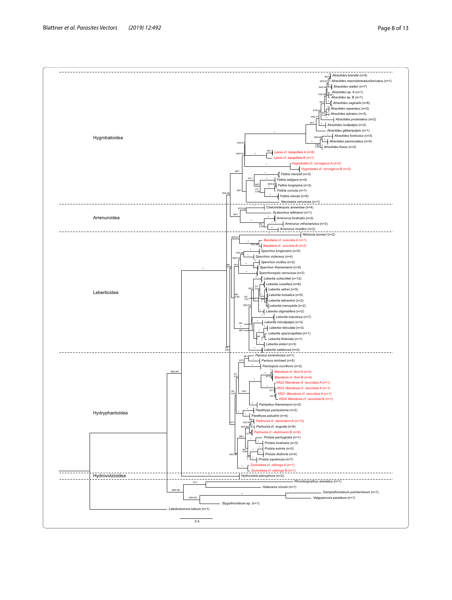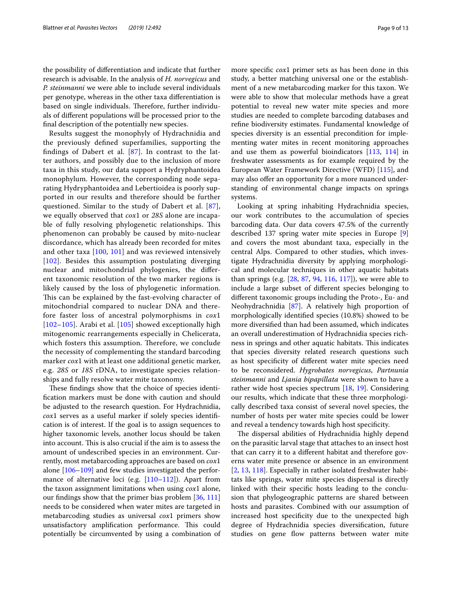the possibility of diferentiation and indicate that further research is advisable. In the analysis of *H. norvegicus* and *P. steinmanni* we were able to include several individuals per genotype, whereas in the other taxa diferentiation is based on single individuals. Therefore, further individuals of diferent populations will be processed prior to the fnal description of the potentially new species.

Results suggest the monophyly of Hydrachnidia and the previously defned superfamilies, supporting the findings of Dabert et al.  $[87]$  $[87]$  $[87]$ . In contrast to the latter authors, and possibly due to the inclusion of more taxa in this study, our data support a Hydryphantoidea monophylum. However, the corresponding node separating Hydryphantoidea and Lebertioidea is poorly supported in our results and therefore should be further questioned. Similar to the study of Dabert et al. [[87\]](#page-11-45), we equally observed that *cox*1 or *28S* alone are incapable of fully resolving phylogenetic relationships. This phenomenon can probably be caused by mito-nuclear discordance, which has already been recorded for mites and other taxa [[100](#page-12-9), [101\]](#page-12-10) and was reviewed intensively [[102](#page-12-11)]. Besides this assumption postulating diverging nuclear and mitochondrial phylogenies, the diferent taxonomic resolution of the two marker regions is likely caused by the loss of phylogenetic information. This can be explained by the fast-evolving character of mitochondrial compared to nuclear DNA and therefore faster loss of ancestral polymorphisms in *cox*1 [[102](#page-12-11)[–105](#page-12-12)]. Arabi et al. [[105\]](#page-12-12) showed exceptionally high mitogenomic rearrangements especially in Chelicerata, which fosters this assumption. Therefore, we conclude the necessity of complementing the standard barcoding marker *cox*1 with at least one additional genetic marker, e.g. *28S* or *18S* rDNA, to investigate species relationships and fully resolve water mite taxonomy.

These findings show that the choice of species identifcation markers must be done with caution and should be adjusted to the research question. For Hydrachnidia, *cox*1 serves as a useful marker if solely species identifcation is of interest. If the goal is to assign sequences to higher taxonomic levels, another locus should be taken into account. This is also crucial if the aim is to assess the amount of undescribed species in an environment. Currently, most metabarcoding approaches are based on *cox*1 alone [[106–](#page-12-13)[109](#page-12-14)] and few studies investigated the perfor-mance of alternative loci (e.g. [\[110](#page-12-15)[–112\]](#page-12-16)). Apart from the taxon assignment limitations when using *cox*1 alone, our fndings show that the primer bias problem [[36,](#page-10-25) [111](#page-12-17)] needs to be considered when water mites are targeted in metabarcoding studies as universal *cox*1 primers show unsatisfactory amplification performance. This could potentially be circumvented by using a combination of more specifc *cox*1 primer sets as has been done in this study, a better matching universal one or the establishment of a new metabarcoding marker for this taxon. We were able to show that molecular methods have a great potential to reveal new water mite species and more studies are needed to complete barcoding databases and refne biodiversity estimates. Fundamental knowledge of species diversity is an essential precondition for implementing water mites in recent monitoring approaches and use them as powerful bioindicators [[113,](#page-12-18) [114](#page-12-19)] in freshwater assessments as for example required by the European Water Framework Directive (WFD) [\[115](#page-12-20)], and may also ofer an opportunity for a more nuanced understanding of environmental change impacts on springs systems.

Looking at spring inhabiting Hydrachnidia species, our work contributes to the accumulation of species barcoding data. Our data covers 47.5% of the currently described 137 spring water mite species in Europe [\[9](#page-10-5)] and covers the most abundant taxa, especially in the central Alps. Compared to other studies, which investigate Hydrachnidia diversity by applying morphological and molecular techniques in other aquatic habitats than springs (e.g. [[28,](#page-10-28) [87,](#page-11-45) [94](#page-12-3), [116](#page-12-21), [117](#page-12-22)]), we were able to include a large subset of diferent species belonging to diferent taxonomic groups including the Proto-, Eu- and Neohydrachnidia [[87](#page-11-45)]. A relatively high proportion of morphologically identifed species (10.8%) showed to be more diversifed than had been assumed, which indicates an overall underestimation of Hydrachnidia species richness in springs and other aquatic habitats. This indicates that species diversity related research questions such as host specifcity of diferent water mite species need to be reconsidered. *Hygrobates norvegicus*, *Partnunia steinmanni* and *Ljania bipapillata* were shown to have a rather wide host species spectrum [[18](#page-10-12), [19\]](#page-10-13). Considering our results, which indicate that these three morphologically described taxa consist of several novel species, the number of hosts per water mite species could be lower and reveal a tendency towards high host specifcity.

The dispersal abilities of Hydrachnidia highly depend on the parasitic larval stage that attaches to an insect host that can carry it to a diferent habitat and therefore governs water mite presence or absence in an environment [[2,](#page-10-1) [13,](#page-10-30) [118](#page-12-23)]. Especially in rather isolated freshwater habitats like springs, water mite species dispersal is directly linked with their specifc hosts leading to the conclusion that phylogeographic patterns are shared between hosts and parasites. Combined with our assumption of increased host specificity due to the unexpected high degree of Hydrachnidia species diversifcation, future studies on gene flow patterns between water mite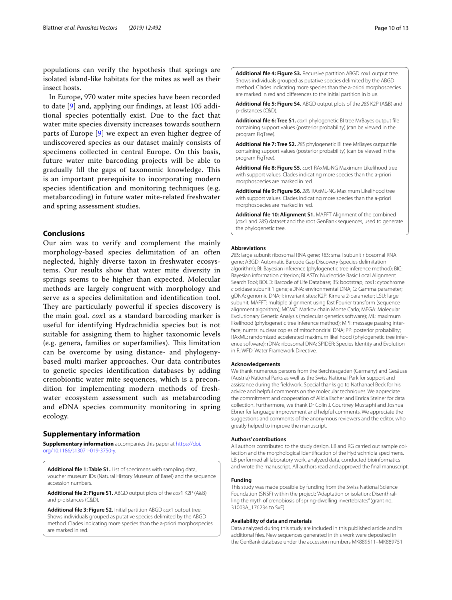populations can verify the hypothesis that springs are isolated island-like habitats for the mites as well as their insect hosts.

In Europe, 970 water mite species have been recorded to date [[9\]](#page-10-5) and, applying our fndings, at least 105 additional species potentially exist. Due to the fact that water mite species diversity increases towards southern parts of Europe [[9\]](#page-10-5) we expect an even higher degree of undiscovered species as our dataset mainly consists of specimens collected in central Europe. On this basis, future water mite barcoding projects will be able to gradually fill the gaps of taxonomic knowledge. This is an important prerequisite to incorporating modern species identifcation and monitoring techniques (e.g. metabarcoding) in future water mite-related freshwater and spring assessment studies.

# **Conclusions**

Our aim was to verify and complement the mainly morphology-based species delimitation of an often neglected, highly diverse taxon in freshwater ecosystems. Our results show that water mite diversity in springs seems to be higher than expected. Molecular methods are largely congruent with morphology and serve as a species delimitation and identifcation tool. They are particularly powerful if species discovery is the main goal. *cox*1 as a standard barcoding marker is useful for identifying Hydrachnidia species but is not suitable for assigning them to higher taxonomic levels (e.g. genera, families or superfamilies). This limitation can be overcome by using distance- and phylogenybased multi marker approaches. Our data contributes to genetic species identifcation databases by adding crenobiontic water mite sequences, which is a precondition for implementing modern methods of freshwater ecosystem assessment such as metabarcoding and eDNA species community monitoring in spring ecology.

# **Supplementary information**

**Supplementary information** accompanies this paper at [https://doi.](https://doi.org/10.1186/s13071-019-3750-y) [org/10.1186/s13071-019-3750-y.](https://doi.org/10.1186/s13071-019-3750-y)

<span id="page-9-0"></span>**Additional fle 1: Table S1.** List of specimens with sampling data, voucher museum IDs (Natural History Museum of Basel) and the sequence accession numbers.

<span id="page-9-2"></span><span id="page-9-1"></span>**Additional fle 2: Figure S1.** ABGD output plots of the *cox*1 K2P (A&B) and p-distances (C&D).

<span id="page-9-3"></span>**Additional fle 3: Figure S2.** Initial partition ABGD *cox*1 output tree. Shows individuals grouped as putative species delimited by the ABGD method. Clades indicating more species than the a-priori morphospecies are marked in red.

**Additional fle 4: Figure S3.** Recursive partition ABGD *cox*1 output tree. Shows individuals grouped as putative species delimited by the ABGD method. Clades indicating more species than the a-priori morphospecies are marked in red and diferences to the initial partition in blue.

<span id="page-9-5"></span><span id="page-9-4"></span>**Additional fle 5: Figure S4.** ABGD output plots of the *28S* K2P (A&B) and p-distances (C&D).

**Additional fle 6: Tree S1.** *cox*1 phylogenetic BI tree MrBayes output fle containing support values (posterior probability) (can be viewed in the program FigTree).

<span id="page-9-6"></span>**Additional fle 7: Tree S2.** *28S* phylogenetic BI tree MrBayes output fle containing support values (posterior probability) (can be viewed in the program FigTree).

<span id="page-9-7"></span>**Additional fle 8: Figure S5.** *cox*1 RAxML-NG Maximum Likelihood tree with support values. Clades indicating more species than the a-priori morphospecies are marked in red.

<span id="page-9-8"></span>**Additional fle 9: Figure S6.** *28S* RAxML-NG Maximum Likelihood tree with support values. Clades indicating more species than the a-priori morphospecies are marked in red.

<span id="page-9-9"></span>**Additional fle 10: Alignment S1.** MAFFT Alignment of the combined (*cox*1 and *28S*) dataset and the root GenBank sequences, used to generate the phylogenetic tree.

### **Abbreviations**

*28S*: large subunit ribosomal RNA gene; *18S*: small subunit ribosomal RNA gene; ABGD: Automatic Barcode Gap Discovery (species delimitation algorithm); BI: Bayesian inference (phylogenetic tree inference method); BIC: Bayesian information criterion; BLASTn: Nucleotide Basic Local Alignment Search Tool; BOLD: Barcode of Life Database; BS: bootstrap; *cox*1: cytochrome *c* oxidase subunit 1 gene; eDNA: environmental DNA; G: Gamma parameter; gDNA: genomic DNA; I: invariant sites; K2P: Kimura 2-parameter; LSU: large subunit; MAFFT: multiple alignment using fast Fourier transform (sequence alignment algorithm); MCMC: Markov chain Monte Carlo; MEGA: Molecular Evolutionary Genetic Analysis (molecular genetics software); ML: maximum likelihood (phylogenetic tree inference method); MPI: message passing interface; numts: nuclear copies of mitochondrial DNA; PP: posterior probability; RAxML: randomized accelerated maximum likelihood (phylogenetic tree inference software); rDNA: ribosomal DNA; SPIDER: Species Identity and Evolution in R; WFD: Water Framework Directive.

#### **Acknowledgements**

We thank numerous persons from the Berchtesgaden (Germany) and Gesäuse (Austria) National Parks as well as the Swiss National Park for support and assistance during the feldwork. Special thanks go to Nathanael Beck for his advice and helpful comments on the molecular techniques. We appreciate the commitment and cooperation of Alicia Escher and Enrica Steiner for data collection. Furthermore, we thank Dr Colin J. Courtney Mustaphi and Joshua Ebner for language improvement and helpful comments. We appreciate the suggestions and comments of the anonymous reviewers and the editor, who greatly helped to improve the manuscript.

#### **Authors' contributions**

All authors contributed to the study design. LB and RG carried out sample collection and the morphological identifcation of the Hydrachnidia specimens. LB performed all laboratory work, analyzed data, conducted bioinformatics and wrote the manuscript. All authors read and approved the fnal manuscript.

#### **Funding**

This study was made possible by funding from the Swiss National Science Foundation (SNSF) within the project: "Adaptation or isolation: Disenthralling the myth of crenobiosis of spring-dwelling invertebrates" (grant no. 31003A\_176234 to SvF).

#### **Availability of data and materials**

Data analyzed during this study are included in this published article and its additional fles. New sequences generated in this work were deposited in the GenBank database under the accession numbers MK889511–MK889751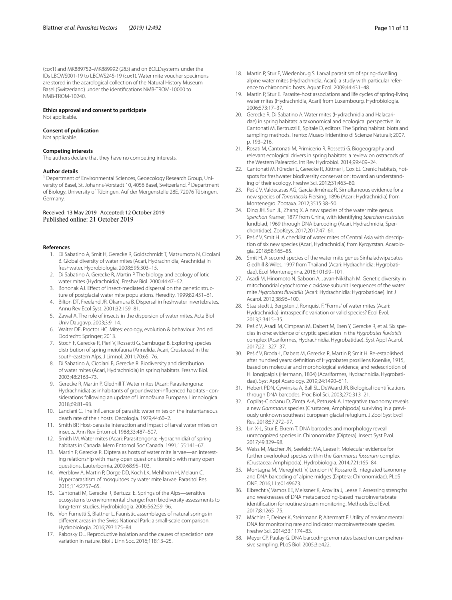(*cox*1) and MK889752–MK889992 (*28S*) and on BOLDsystems under the IDs LBCWS001-19 to LBCWS245-19 (*cox*1). Water mite voucher specimens are stored in the acarological collection of the Natural History Museum Basel (Switzerland) under the identifcations NMB-TROM-10000 to NMB-TROM-10240.

#### **Ethics approval and consent to participate**

Not applicable.

### **Consent of publication**

Not applicable.

#### **Competing interests**

The authors declare that they have no competing interests.

#### **Author details**

<sup>1</sup> Department of Environmental Sciences, Geoecology Research Group, University of Basel, St. Johanns-Vorstadt 10, 4056 Basel, Switzerland. 2 Department of Biology, University of Tübingen, Auf der Morgenstelle 28E, 72076 Tübingen, Germany.

### Received: 13 May 2019 Accepted: 12 October 2019 Published online: 21 October 2019

#### <span id="page-10-0"></span>**References**

- 1. Di Sabatino A, Smit H, Gerecke R, Goldschmidt T, Matsumoto N, Cicolani B. Global diversity of water mites (Acari, Hydrachnidia; Arachnida) in freshwater. Hydrobiologia. 2008;595:303–15.
- <span id="page-10-1"></span>2. Di Sabatino A, Gerecke R, Martin P. The biology and ecology of lotic water mites (Hydrachnidia). Freshw Biol. 2000;44:47–62.
- 3. Bohonak AJ. Efect of insect-mediated dispersal on the genetic structure of postglacial water mite populations. Heredity. 1999;82:451–61.
- <span id="page-10-10"></span>4. Bilton DT, Freeland JR, Okamura B. Dispersal in freshwater invertebrates. Annu Rev Ecol Syst. 2001;32:159–81.
- <span id="page-10-2"></span>5. Zawal A. The role of insects in the dispersion of water mites. Acta Biol Univ Daugavp. 2003;3:9–14.
- <span id="page-10-3"></span>6. Walter DE, Proctor HC. Mites: ecology, evolution & behaviour. 2nd ed. Dodrecht: Springer; 2013.
- <span id="page-10-4"></span>7. Stoch F, Gerecke R, Pieri V, Rossetti G, Sambugar B. Exploring species distribution of spring meiofauna (Annelida, Acari, Crustacea) in the south-eastern Alps. J Limnol. 2011;70:65–76.
- 8. Di Sabatino A, Cicolani B, Gerecke R. Biodiversity and distribution of water mites (Acari, Hydrachnidia) in spring habitats. Freshw Biol. 2003;48:2163–73.
- <span id="page-10-5"></span>9. Gerecke R, Martin P, Gledhill T. Water mites (Acari: Parasitengona: Hydrachnidia) as inhabitants of groundwater-infuenced habitats - considerations following an update of Limnofauna Europaea. Limnologica. 2018;69:81–93.
- <span id="page-10-6"></span>10. Lanciani C. The infuence of parasitic water mites on the instantaneous death rate of their hosts. Oecologia. 1979;44:60–2.
- 11. Smith BP. Host-parasite interaction and impact of larval water mites on insects. Ann Rev Entomol. 1988;33:487–507.
- 12. Smith IM. Water mites (Acari: Parasitengona: Hydrachnidia) of spring habitats in Canada. Mem Entomol Soc Canada. 1991;155:141–67.
- <span id="page-10-30"></span>13. Martin P, Gerecke R. Diptera as hosts of water mite larvae—an interesting relationship with many open questions tionship with many open questions. Lauterbornia. 2009;68:95–103.
- <span id="page-10-7"></span>14. Werblow A, Martin P, Dörge DD, Koch LK, Mehlhorn H, Melaun C. Hyperparasitism of mosquitoes by water mite larvae. Parasitol Res. 2015;114:2757–65.
- <span id="page-10-8"></span>15. Cantonati M, Gerecke R, Bertuzzi E. Springs of the Alps—sensitive ecosystems to environmental change: from biodiversity assessments to long-term studies. Hydrobiologia. 2006;562:59–96.
- <span id="page-10-9"></span>16. Von Fumetti S, Blattner L. Faunistic assemblages of natural springs in diferent areas in the Swiss National Park: a small-scale comparison. Hydrobiologia. 2016;793:175–84.
- <span id="page-10-11"></span>17. Rabosky DL. Reproductive isolation and the causes of speciation rate variation in nature. Biol J Linn Soc. 2016;118:13–25.
- <span id="page-10-12"></span>18. Martin P, Stur E, Wiedenbrug S. Larval parasitism of spring-dwelling alpine water mites (Hydrachnidia, Acari): a study with particular reference to chironomid hosts. Aquat Ecol. 2009;44:431–48.
- <span id="page-10-13"></span>19. Martin P, Stur E. Parasite-host associations and life cycles of spring-living water mites (Hydrachnidia, Acari) from Luxembourg. Hydrobiologia. 2006;573:17–37.
- <span id="page-10-14"></span>20. Gerecke R, Di Sabatino A. Water mites (Hydrachnidia and Halacaridae) in spring habitats: a taxonomical and ecological perspective. In: Cantonati M, Bertruzzi E, Spitale D, editors. The Spring habitat: biota and sampling methods. Trento: Museo Tridentino di Scienze Naturali; 2007. p. 193–216.
- <span id="page-10-15"></span>21. Rosati M, Cantonati M, Primicerio R, Rossetti G. Biogeography and relevant ecological drivers in spring habitats: a review on ostracods of the Western Palearctic. Int Rev Hydrobiol. 2014;99:409–24.
- <span id="page-10-16"></span>22. Cantonati M, Füreder L, Gerecke R, Jüttner I, Cox EJ. Crenic habitats, hotspots for freshwater biodiversity conservation: toward an understanding of their ecology. Freshw Sci. 2012;31:463–80.
- <span id="page-10-17"></span>23. Pešić V, Valdecasas AG, García-Jiménez R. Simultaneous evidence for a new species of *Torrenticola* Piersing, 1896 (Acari: Hydrachnidia) from Montenegro. Zootaxa. 2012;3515:38–50.
- 24. Ding JH, Sun JL, Zhang X. A new species of the water mite genus *Sperchon* Kramer, 1877 from China, with identifying *Sperchon rostratus* lundblad, 1969 through DNA barcoding (Acari, Hydrachnidia, Sperchontidae). ZooKeys. 2017;2017:47–61.
- 25. Pešić V, Smit H. A checklist of water mites of Central Asia with description of six new species (Acari, Hydrachnidia) from Kyrgyzstan. Acarologia. 2018;58:165–85.
- <span id="page-10-18"></span>26. Smit H. A second species of the water mite genus Sinhaladwipabates Gledhill & Wiles, 1997 from Thailand (Acari: Hydrachnidia: Hygrobatidae). Ecol Montenegrina. 2018;101:99–101.
- <span id="page-10-19"></span>27. Asadi M, Hinomoto N, Saboori A, Javan-Nikkhah M. Genetic diversity in mitochondrial cytochrome *c* oxidase subunit I sequences of the water mite *Hygrobates fuviatilis* (Acari: Hydrachnidia: Hygrobatidae). Int J Acarol. 2012;38:96–100.
- <span id="page-10-28"></span>28. Staalstedt J, Bergsten J, Ronquist F. "Forms" of water mites (Acari: Hydrachnidia): intraspecifc variation or valid species? Ecol Evol. 2013;3:3415–35.
- <span id="page-10-22"></span>29. Pešić V, Asadi M, Cimpean M, Dabert M, Esen Y, Gerecke R, et al. Six species in one: evidence of cryptic speciation in the *Hygrobates fuviatilis* complex (Acariformes, Hydrachnidia, Hygrobatidae). Syst Appl Acarol. 2017;22:1327–37.
- <span id="page-10-20"></span>30. Pešić V, Broda Ł, Dabert M, Gerecke R, Martin P, Smit H. Re-established after hundred years: defnition of Hygrobates prosiliens Koenike, 1915, based on molecular and morphological evidence, and redescription of H. longipalpis (Hermann, 1804) (Acariformes, Hydrachnidia, Hygrobatidae). Syst Appl Acarology. 2019;24:1490–511.
- <span id="page-10-21"></span>31. Hebert PDN, Cywinska A, Ball SL, DeWaard JR. Biological identifcations through DNA barcodes. Proc Biol Sci. 2003;270:313–21.
- <span id="page-10-23"></span>32. Copilaș-Ciocianu D, Zimța A-A, Petrusek A. Integrative taxonomy reveals a new *Gammarus* species (Crustacea, Amphipoda) surviving in a previously unknown southeast European glacial refugium. J Zool Syst Evol Res. 2018;57:272–97.
- 33. Lin X-L, Stur E, Ekrem T. DNA barcodes and morphology reveal unrecognized species in Chironomidae (Diptera). Insect Syst Evol. 2017;49:329–98.
- <span id="page-10-29"></span>34. Weiss M, Macher JN, Seefeldt MA, Leese F. Molecular evidence for further overlooked species within the *Gammarus fossarum* complex (Crustacea: Amphipoda). Hydrobiologia. 2014;721:165–84.
- <span id="page-10-24"></span>35. Montagna M, Mereghetti V, Lencioni V, Rossaro B. Integrated taxonomy and DNA barcoding of alpine midges (Diptera: Chironomidae). PLoS ONE. 2016;11:e0149673.
- <span id="page-10-25"></span>36. Elbrecht V, Vamos EE, Meissner K, Aroviita J, Leese F. Assessing strengths and weaknesses of DNA metabarcoding-based macroinvertebrate identifcation for routine stream monitoring. Methods Ecol Evol. 2017;8:1265–75.
- <span id="page-10-26"></span>37. Mächler E, Deiner K, Steinmann P, Altermatt F. Utility of environmental DNA for monitoring rare and indicator macroinvertebrate species. Freshw Sci. 2014;33:1174–83.
- <span id="page-10-27"></span>38. Meyer CP, Paulay G. DNA barcoding: error rates based on comprehensive sampling. PLoS Biol. 2005;3:e422.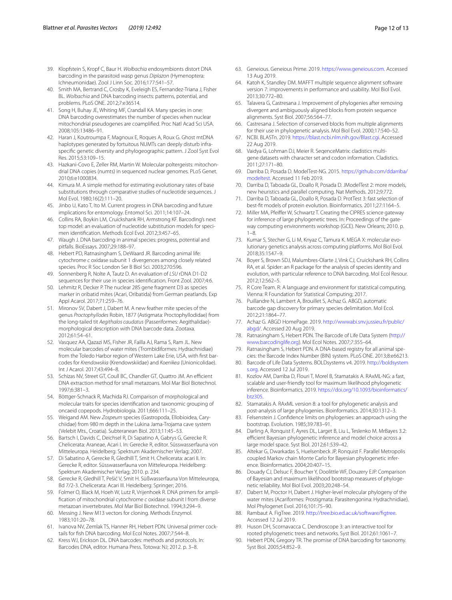- <span id="page-11-0"></span>39. Klopfstein S, Kropf C, Baur H. *Wolbachia* endosymbionts distort DNA barcoding in the parasitoid wasp genus *Diplazon* (Hymenoptera: Ichneumonidae). Zool J Linn Soc. 2016;177:541–57.
- <span id="page-11-1"></span>40. Smith MA, Bertrand C, Crosby K, Eveleigh ES, Fernandez-Triana J, Fisher BL. *Wolbachia* and DNA barcoding insects: patterns, potential, and problems. PLoS ONE. 2012;7:e36514.
- <span id="page-11-2"></span>41. Song H, Buhay JE, Whiting MF, Crandall KA. Many species in one: DNA barcoding overestimates the number of species when nuclear mitochondrial pseudogenes are coamplifed. Proc Natl Acad Sci USA. 2008;105:13486–91.
- 42. Haran J, Koutroumpa F, Magnoux E, Roques A, Roux G. Ghost mtDNA haplotypes generated by fortuitous NUMTs can deeply disturb infraspecifc genetic diversity and phylogeographic pattern. J Zool Syst Evol Res. 2015;53:109–15.
- <span id="page-11-3"></span>43. Hazkani-Covo E, Zeller RM, Martin W. Molecular poltergeists: mitochondrial DNA copies (numts) in sequenced nuclear genomes. PLoS Genet. 2010;6:e1000834.
- <span id="page-11-4"></span>44. Kimura M. A simple method for estimating evolutionary rates of base substitutions through comparative studies of nucleotide sequences. J Mol Evol. 1980;16(2):111–20.
- <span id="page-11-5"></span>45. Jinbo U, Kato T, Ito M. Current progress in DNA barcoding and future implications for entomology. Entomol Sci. 2011;14:107–24.
- <span id="page-11-6"></span>46. Collins RA, Boykin LM, Cruickshank RH, Armstrong KF. Barcoding's next top model: an evaluation of nucleotide substitution models for specimen identifcation. Methods Ecol Evol. 2012;3:457–65.
- <span id="page-11-7"></span>47. Waugh J. DNA barcoding in animal species: progress, potential and pitfalls. BioEssays. 2007;29:188–97.
- <span id="page-11-8"></span>48. Hebert PD, Ratnasingham S, DeWaard JR. Barcoding animal life: cytochrome *c* oxidase subunit 1 divergences among closely related species. Proc R Soc London Ser B Biol Sci. 2003;270:S96.
- <span id="page-11-9"></span>49. Sonnenberg R, Nolte A, Tautz D. An evaluation of *LSU* rDNA D1-D2 sequences for their use in species identifcation. Front Zool. 2007;4:6.
- <span id="page-11-10"></span>50. Lehmitz R, Decker P. The nuclear 28S gene fragment D3 as species marker in oribatid mites (Acari, Oribatida) from German peatlands. Exp Appl Acarol. 2017;71:259–76.
- 51. Mironov SV, Dabert J, Dabert M. A new feather mite species of the genus *Proctophyllodes* Robin, 1877 (Astigmata: Proctophyllodidae) from the long-tailed tit *Aegithalos caudatus* (Passeriformes: Aegithalidae) morphological description with DNA barcode data. Zootaxa. 2012;61:54–61.
- <span id="page-11-11"></span>52. Vasquez AA, Qazazi MS, Fisher JR, Failla AJ, Rama S, Ram JL. New molecular barcodes of water mites (Trombidiformes: Hydrachnidiae) from the Toledo Harbor region of Western Lake Erie, USA, with frst barcodes for *Krendowskia* (Krendowskiidae) and *Koenikea* (Unionicolidae). Int J Acarol. 2017;43:494–8.
- <span id="page-11-12"></span>53. Schizas NV, Street GT, Coull BC, Chandler GT, Quattro JM. An efficient DNA extraction method for small metazoans. Mol Mar Biol Biotechnol. 1997;6:381–3.
- <span id="page-11-13"></span>54. Böttger-Schnack R, Machida RJ. Comparison of morphological and molecular traits for species identifcation and taxonomic grouping of oncaeid copepods. Hydrobiologia. 2011;666:111–25.
- <span id="page-11-14"></span>55. Weigand AM. New *Zospeum* species (Gastropoda, Ellobioidea, Carychiidae) from 980 m depth in the Lukina Jama-Trojama cave system (Velebit Mts., Croatia). Subteranean Biol. 2013;11:45–53.
- <span id="page-11-15"></span>56. Bartsch I, Davids C, Deichsel R, Di Sapatino A, Gabrys G, Gerecke R. Chelicerata: Araneae, Acari I. In: Gerecke R, editor. Süsswasserfauna von Mitteleuropa. Heidelberg: Spektrum Akademischer Verlag; 2007.
- 57. Di Sabatino A, Gerecke R, Gledhill T, Smit H. Chelicerata: acari II. In: Gerecke R, editor. Süsswasserfauna von Mitteleuropa. Heidelberg: Spektrum Akademischer Verlag; 2010. p. 234.
- <span id="page-11-16"></span>58. Gerecke R, Gledhill T, Pešić V, Smit H. Süßwasserfauna Von Mitteleuropa, Bd 7/2-3. Chelicerata: Acari III. Heidelberg: Springer; 2016.
- <span id="page-11-17"></span>59. Folmer O, Black M, Hoeh W, Lutz R, Vrijenhoek R. DNA primers for amplifcation of mitochondrial cytochrome *c* oxidase subunit I from diverse metazoan invertebrates. Mol Mar Biol Biotechnol. 1994;3:294–9.
- <span id="page-11-18"></span>60. Messing J. New M13 vectors for cloning. Methods Enzymol. 1983;101:20–78. 61. Ivanova NV, Zemlak TS, Hanner RH, Hebert PDN. Universal primer cock-
- <span id="page-11-19"></span>tails for fsh DNA barcoding. Mol Ecol Notes. 2007;7:544–8.
- <span id="page-11-20"></span>Kress WJ, Erickson DL. DNA barcodes: methods and protocols. In: Barcodes DNA, editor. Humana Press. Totowa: NJ; 2012. p. 3–8.
- <span id="page-11-21"></span>63. Geneious. Geneious Prime. 2019.<https://www.geneious.com>. Accessed 13 Aug 2019.
- <span id="page-11-22"></span>64. Katoh K, Standley DM. MAFFT multiple sequence alignment software version 7: improvements in performance and usability. Mol Biol Evol. 2013;30:772–80.
- <span id="page-11-23"></span>65. Talavera G, Castresana J. Improvement of phylogenies after removing divergent and ambiguously aligned blocks from protein sequence alignments. Syst Biol. 2007;56:564–77.
- <span id="page-11-24"></span>Castresana J. Selection of conserved blocks from multiple alignments for their use in phylogenetic analysis. Mol Biol Evol. 2000;17:540–52.
- <span id="page-11-25"></span>67. NCBI. BLASTn. 2019. [https://blast.ncbi.nlm.nih.gov/Blast.cgi.](https://blast.ncbi.nlm.nih.gov/Blast.cgi) Accessed 22 Aug 2019.
- <span id="page-11-26"></span>68. Vaidya G, Lohman DJ, Meier R. SeqenceMatrix: cladistics multigene datasets with character set and codon information. Cladistics. 2011;27:171–80.
- <span id="page-11-27"></span>Darriba D, Posada D. ModelTest-NG. 2015. [https://github.com/ddarriba/](https://github.com/ddarriba/modeltest) [modeltest.](https://github.com/ddarriba/modeltest) Accessed 11 Feb 2019.
- <span id="page-11-28"></span>70. Darriba D, Taboada GL, Doallo R, Posada D. JModelTest 2: more models, new heuristics and parallel computing. Nat Methods. 2012;9:772.
- <span id="page-11-29"></span>71. Darriba D, Taboada GL, Doallo R, Posada D. ProtTest 3: fast selection of best-ft models of protein evolution. Bioinformatics. 2011;27:1164–5.
- <span id="page-11-30"></span>72. Miller MA, Pfeifer W, Schwartz T. Creating the CIPRES science gateway for inference of large phylogenetic trees. In: Proceedings of the gateway computing environments workshop (GCE). New Orleans; 2010. p. 1–8.
- <span id="page-11-31"></span>73. Kumar S, Stecher G, Li M, Knyaz C, Tamura K. MEGA X: molecular evolutionary genetics analysis across computing platforms. Mol Biol Evol. 2018;35:1547–9.
- <span id="page-11-32"></span>74. Boyer S, Brown SDJ, Malumbres-Olarte J, Vink CJ, Cruickshank RH, Collins RA, et al. Spider: an R package for the analysis of species identity and evolution, with particular reference to DNA barcoding. Mol Ecol Resour. 2012;12:562–5.
- <span id="page-11-33"></span>75. R Core Team. R: A language and environment for statistical computing. Vienna: R Foundation for Statistical Computing; 2017.
- <span id="page-11-34"></span>76. Puillandre N, Lambert A, Brouillet S, Achaz G. ABGD, automatic barcode gap discovery for primary species delimitation. Mol Ecol. 2012;21:1864–77.
- <span id="page-11-35"></span>77. Achaz G. ABGD HomePage. 2019. [http://wwwabi.snv.jussieu.fr/public/](http://wwwabi.snv.jussieu.fr/public/abgd/) [abgd/.](http://wwwabi.snv.jussieu.fr/public/abgd/) Accessed 20 Aug 2019.
- <span id="page-11-36"></span>78. Ratnasingham S, Hebert PDN. The Barcode of Life Data System [\(http://](http://www.barcodinglife.org) [www.barcodinglife.org](http://www.barcodinglife.org)). Mol Ecol Notes. 2007;7:355–64.
- <span id="page-11-37"></span>79. Ratnasingham S, Hebert PDN. A DNA-based registry for all animal species: the Barcode Index Number (BIN) system. PLoS ONE. 2013;8:e66213.
- <span id="page-11-38"></span>80. Barcode of Life Data Systems. BOLDsystems v4. 2019. [http://boldsystem](http://boldsystems.org) [s.org](http://boldsystems.org). Accessed 12 Jul 2019.
- <span id="page-11-39"></span>81. Kozlov AM, Darriba D, Flouri T, Morel B, Stamatakis A. RAxML-NG: a fast, scalable and user-friendly tool for maximum likelihood phylogenetic inference. Bioinformatics. 2019. [https://doi.org/10.1093/bioinformatics/](https://doi.org/10.1093/bioinformatics/btz305) [btz305](https://doi.org/10.1093/bioinformatics/btz305).
- <span id="page-11-40"></span>82. Stamatakis A. RAxML version 8: a tool for phylogenetic analysis and post-analysis of large phylogenies. Bioinformatics. 2014;30:1312–3.
- <span id="page-11-41"></span>83. Felsenstein J. Confdence limits on phylogenies: an approach using the bootstrap. Evolution. 1985;39:783–91.
- <span id="page-11-42"></span>84. Darling A, Ronquist F, Ayres DL, Larget B, Liu L, Teslenko M. MrBayes 3.2: efficient Bayesian phylogenetic inference and model choice across a large model space. Syst Biol. 2012;61:539–42.
- <span id="page-11-43"></span>85. Altekar G, Dwarkadas S, Huelsenbeck JP, Ronquist F. Parallel Metropolis coupled Markov chain Monte Carlo for Bayesian phylogenetic inference. Bioinformatics. 2004;20:407–15.
- <span id="page-11-44"></span>86. Douady CJ, Delsuc F, Boucher Y, Doolittle WF, Douzery EJP. Comparison of Bayesian and maximum likelihood bootstrap measures of phylogenetic reliability. Mol Biol Evol. 2003;20:248–54.
- <span id="page-11-45"></span>87. Dabert M, Proctor H, Dabert J. Higher-level molecular phylogeny of the water mites (Acariformes: Prostigmata: Parasitengonina: Hydrachnidiae). Mol Phylogenet Evol. 2016;101:75–90.
- <span id="page-11-46"></span>88. Rambaut A. FigTree. 2019. [http://tree.bio.ed.ac.uk/software/fgtree](http://tree.bio.ed.ac.uk/software/figtree). Accessed 12 Jul 2019.
- <span id="page-11-47"></span>89. Huson DH, Scornavacca C. Dendroscope 3: an interactive tool for rooted phylogenetic trees and networks. Syst Biol. 2012;61:1061–7.
- <span id="page-11-48"></span>90. Hebert PDN, Gregory TR. The promise of DNA barcoding for taxonomy. Syst Biol. 2005;54:852–9.